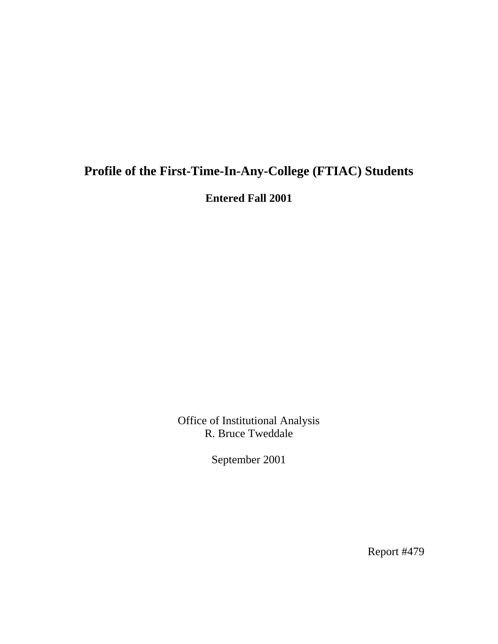# **Profile of the First-Time-In-Any-College (FTIAC) Students**

**Entered Fall 2001** 

Office of Institutional Analysis R. Bruce Tweddale

September 2001

Report #479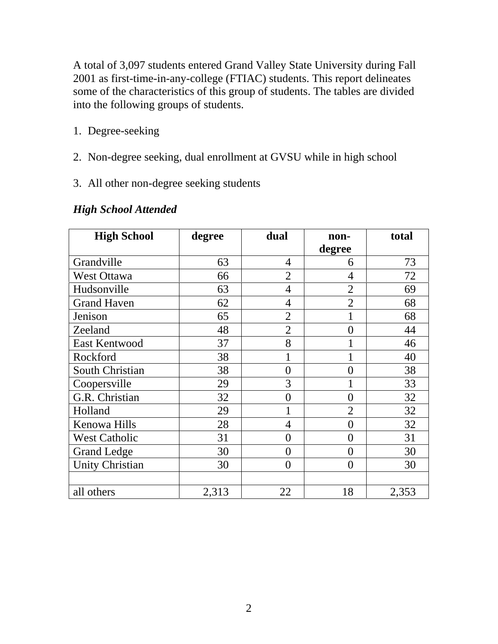A total of 3,097 students entered Grand Valley State University during Fall 2001 as first-time-in-any-college (FTIAC) students. This report delineates some of the characteristics of this group of students. The tables are divided into the following groups of students.

- 1. Degree-seeking
- 2. Non-degree seeking, dual enrollment at GVSU while in high school
- 3. All other non-degree seeking students

| <b>High School</b>     | degree | dual           | non-<br>degree | total |
|------------------------|--------|----------------|----------------|-------|
| Grandville             | 63     | $\overline{4}$ | 6              | 73    |
| <b>West Ottawa</b>     | 66     | 2              | $\overline{4}$ | 72    |
| Hudsonville            | 63     | $\overline{4}$ | $\overline{2}$ | 69    |
| <b>Grand Haven</b>     | 62     | $\overline{4}$ | $\overline{2}$ | 68    |
| Jenison                | 65     | $\overline{2}$ |                | 68    |
| Zeeland                | 48     | $\overline{2}$ | $\overline{0}$ | 44    |
| <b>East Kentwood</b>   | 37     | 8              | 1              | 46    |
| Rockford               | 38     |                |                | 40    |
| South Christian        | 38     | $\overline{0}$ | $\overline{0}$ | 38    |
| Coopersville           | 29     | 3              | $\mathbf{1}$   | 33    |
| G.R. Christian         | 32     | $\overline{0}$ | $\overline{0}$ | 32    |
| Holland                | 29     |                | $\overline{2}$ | 32    |
| Kenowa Hills           | 28     | $\overline{4}$ | $\overline{0}$ | 32    |
| <b>West Catholic</b>   | 31     | $\overline{0}$ | $\overline{0}$ | 31    |
| <b>Grand Ledge</b>     | 30     | $\theta$       | $\overline{0}$ | 30    |
| <b>Unity Christian</b> | 30     | $\theta$       | $\overline{0}$ | 30    |
|                        |        |                |                |       |
| all others             | 2,313  | 22             | 18             | 2,353 |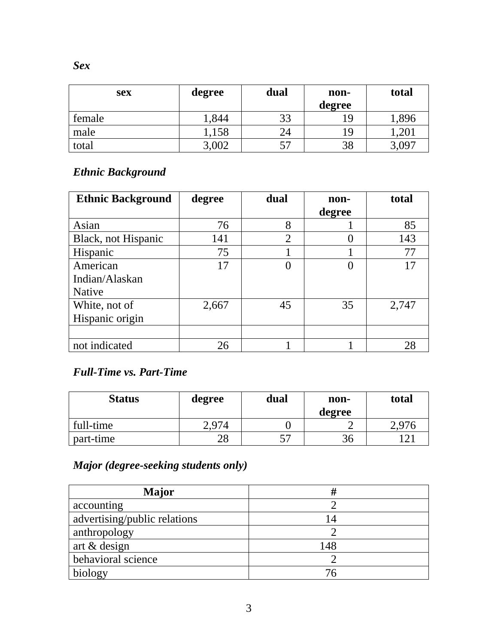| <b>sex</b> | degree | dual    | non-<br>degree | total     |
|------------|--------|---------|----------------|-----------|
| female     | ,844   | 33      | 19             | 1,896     |
| male       | 1,158  | 24      | 19             | ,201      |
| total      | 3,002  | 57<br>J | 38             | $,09^{-}$ |

### *Ethnic Background*

| <b>Ethnic Background</b> | degree | dual           | non-     | total |
|--------------------------|--------|----------------|----------|-------|
|                          |        |                | degree   |       |
| Asian                    | 76     | 8              |          | 85    |
| Black, not Hispanic      | 141    | $\overline{2}$ |          | 143   |
| Hispanic                 | 75     |                |          | 77    |
| American                 | 17     |                | $\Omega$ |       |
| Indian/Alaskan           |        |                |          |       |
| <b>Native</b>            |        |                |          |       |
| White, not of            | 2,667  | 45             | 35       | 2,747 |
| Hispanic origin          |        |                |          |       |
|                          |        |                |          |       |
| not indicated            | 26     |                |          | 28    |

#### *Full-Time vs. Part-Time*

| <b>Status</b> | degree | dual    | non-<br>degree | total |
|---------------|--------|---------|----------------|-------|
| full-time     | 2.974  |         |                | 2.976 |
| part-time     | 28     | 57<br>◡ | 36             | ∣າ    |

## *Major (degree-seeking students only)*

| Major                        |              |
|------------------------------|--------------|
| accounting                   |              |
| advertising/public relations | $\mathsf{I}$ |
| anthropology                 |              |
| art & design                 | 148          |
| behavioral science           |              |
| biology                      | 76           |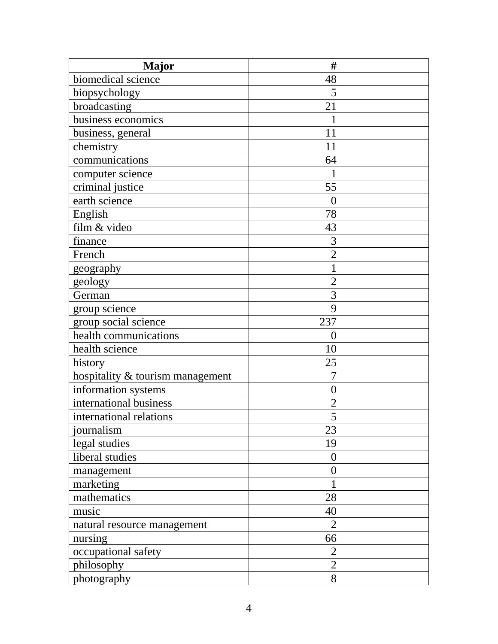| <b>Major</b>                     | #                |
|----------------------------------|------------------|
| biomedical science               | 48               |
| biopsychology                    | 5                |
| broadcasting                     | 21               |
| business economics               |                  |
| business, general                | 11               |
| chemistry                        | 11               |
| communications                   | 64               |
| computer science                 | $\mathbf{1}$     |
| criminal justice                 | 55               |
| earth science                    | $\overline{0}$   |
| English                          | 78               |
| film & video                     | 43               |
| finance                          | 3                |
| French                           | $\overline{2}$   |
| geography                        |                  |
| geology                          | $\overline{2}$   |
| German                           | 3                |
| group science                    | 9                |
| group social science             | 237              |
| health communications            | $\overline{0}$   |
| health science                   | 10               |
| history                          | 25               |
| hospitality & tourism management | $\overline{7}$   |
| information systems              | $\boldsymbol{0}$ |
| international business           | $\overline{2}$   |
| international relations          | 5                |
| journalism                       | 23               |
| legal studies                    | 19               |
| liberal studies                  | $\overline{0}$   |
| management                       | $\theta$         |
| marketing                        |                  |
| mathematics                      | 28               |
| music                            | 40               |
| natural resource management      | $\overline{2}$   |
| nursing                          | 66               |
| occupational safety              | $\overline{2}$   |
| philosophy                       | $\mathfrak{2}$   |
| photography                      | 8                |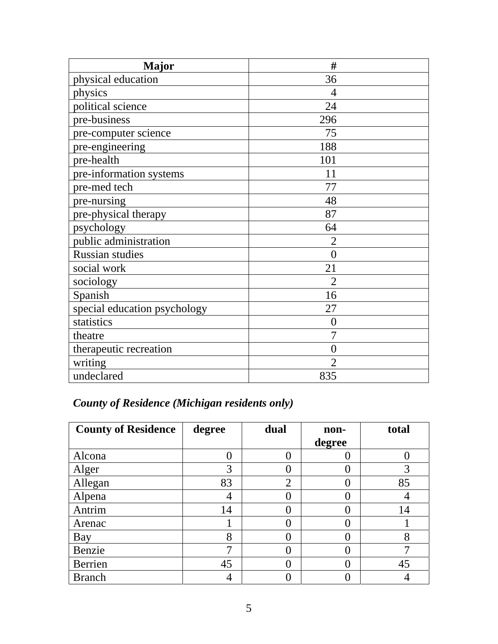| <b>Major</b>                 | #              |
|------------------------------|----------------|
| physical education           | 36             |
| physics                      | 4              |
| political science            | 24             |
| pre-business                 | 296            |
| pre-computer science         | 75             |
| pre-engineering              | 188            |
| pre-health                   | 101            |
| pre-information systems      | 11             |
| pre-med tech                 | 77             |
| pre-nursing                  | 48             |
| pre-physical therapy         | 87             |
| psychology                   | 64             |
| public administration        | $\overline{2}$ |
| Russian studies              | $\theta$       |
| social work                  | 21             |
| sociology                    | $\overline{2}$ |
| Spanish                      | 16             |
| special education psychology | 27             |
| statistics                   | $\overline{0}$ |
| theatre                      | $\overline{7}$ |
| therapeutic recreation       | $\theta$       |
| writing                      | $\overline{2}$ |
| undeclared                   | 835            |

## *County of Residence (Michigan residents only)*

| <b>County of Residence</b> | degree | dual           | non-     | total |
|----------------------------|--------|----------------|----------|-------|
|                            |        |                | degree   |       |
| Alcona                     |        | $\theta$       |          |       |
| Alger                      | 3      |                | 0        | 3     |
| Allegan                    | 83     | $\overline{2}$ |          | 85    |
| Alpena                     | 4      |                |          |       |
| Antrim                     | 14     |                |          | 14    |
| Arenac                     |        |                | 0        |       |
| Bay                        | 8      |                | 0        | 8     |
| Benzie                     | 7      |                | $\Omega$ |       |
| Berrien                    | 45     |                | 0        | 45    |
| <b>Branch</b>              |        |                |          |       |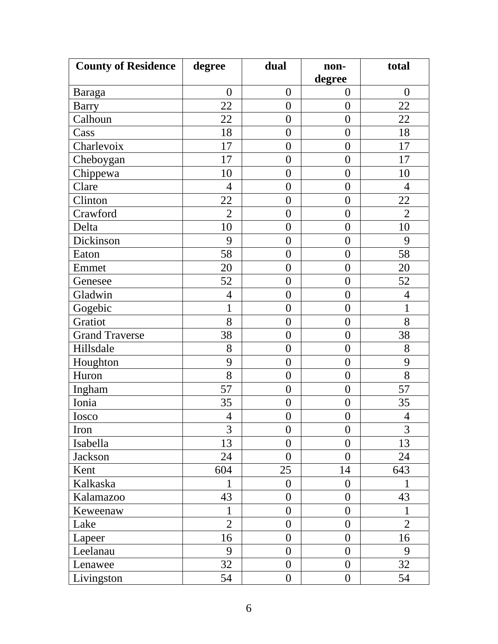| <b>County of Residence</b> | degree         | dual             | non-             | total            |
|----------------------------|----------------|------------------|------------------|------------------|
|                            |                |                  | degree           |                  |
| Baraga                     | $\overline{0}$ | $\boldsymbol{0}$ | $\boldsymbol{0}$ | $\boldsymbol{0}$ |
| <b>Barry</b>               | 22             | $\overline{0}$   | $\boldsymbol{0}$ | 22               |
| Calhoun                    | 22             | $\overline{0}$   | $\overline{0}$   | 22               |
| Cass                       | 18             | $\overline{0}$   | $\boldsymbol{0}$ | 18               |
| Charlevoix                 | 17             | $\boldsymbol{0}$ | $\boldsymbol{0}$ | 17               |
| Cheboygan                  | 17             | $\overline{0}$   | $\overline{0}$   | 17               |
| Chippewa                   | 10             | $\overline{0}$   | $\boldsymbol{0}$ | 10               |
| Clare                      | $\overline{4}$ | $\boldsymbol{0}$ | $\boldsymbol{0}$ | $\overline{4}$   |
| Clinton                    | 22             | $\overline{0}$   | $\overline{0}$   | 22               |
| Crawford                   | $\overline{2}$ | $\boldsymbol{0}$ | $\boldsymbol{0}$ | $\overline{2}$   |
| Delta                      | 10             | $\overline{0}$   | $\overline{0}$   | 10               |
| Dickinson                  | 9              | $\boldsymbol{0}$ | $\boldsymbol{0}$ | 9                |
| Eaton                      | 58             | $\overline{0}$   | $\overline{0}$   | 58               |
| Emmet                      | 20             | $\boldsymbol{0}$ | $\boldsymbol{0}$ | 20               |
| Genesee                    | 52             | $\boldsymbol{0}$ | $\boldsymbol{0}$ | 52               |
| Gladwin                    | $\overline{4}$ | $\boldsymbol{0}$ | $\boldsymbol{0}$ | $\overline{4}$   |
| Gogebic                    | $\mathbf 1$    | $\boldsymbol{0}$ | $\boldsymbol{0}$ | 1                |
| Gratiot                    | 8              | $\boldsymbol{0}$ | $\boldsymbol{0}$ | 8                |
| <b>Grand Traverse</b>      | 38             | $\overline{0}$   | $\overline{0}$   | 38               |
| Hillsdale                  | 8              | $\boldsymbol{0}$ | $\boldsymbol{0}$ | 8                |
| Houghton                   | 9              | $\boldsymbol{0}$ | $\boldsymbol{0}$ | 9                |
| Huron                      | 8              | $\overline{0}$   | $\boldsymbol{0}$ | 8                |
| Ingham                     | 57             | $\boldsymbol{0}$ | $\boldsymbol{0}$ | 57               |
| Ionia                      | 35             | $\boldsymbol{0}$ | $\boldsymbol{0}$ | 35               |
| Iosco                      | $\overline{4}$ | $\boldsymbol{0}$ | $\boldsymbol{0}$ | $\overline{4}$   |
| Iron                       | 3              | $\overline{0}$   | $\overline{0}$   | 3                |
| Isabella                   | 13             | $\overline{0}$   | $\overline{0}$   | 13               |
| Jackson                    | 24             | $\overline{0}$   | $\overline{0}$   | 24               |
| Kent                       | 604            | 25               | 14               | 643              |
| Kalkaska                   | 1              | $\theta$         | $\theta$         | 1                |
| Kalamazoo                  | 43             | $\overline{0}$   | $\overline{0}$   | 43               |
| Keweenaw                   | 1              | $\overline{0}$   | $\overline{0}$   | 1                |
| Lake                       | $\overline{2}$ | $\overline{0}$   | $\overline{0}$   | $\overline{2}$   |
| Lapeer                     | 16             | $\overline{0}$   | $\overline{0}$   | 16               |
| Leelanau                   | 9              | $\overline{0}$   | $\overline{0}$   | 9                |
| Lenawee                    | 32             | $\overline{0}$   | $\overline{0}$   | 32               |
| Livingston                 | 54             | $\boldsymbol{0}$ | $\boldsymbol{0}$ | 54               |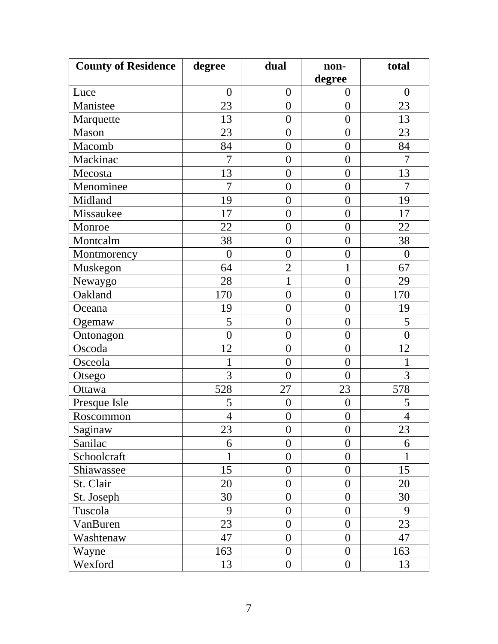| <b>County of Residence</b> | degree         | dual             | non-             | total          |
|----------------------------|----------------|------------------|------------------|----------------|
|                            |                |                  | degree           |                |
| Luce                       | $\overline{0}$ | $\boldsymbol{0}$ | $\overline{0}$   | $\overline{0}$ |
| Manistee                   | 23             | $\overline{0}$   | $\overline{0}$   | 23             |
| Marquette                  | 13             | $\overline{0}$   | $\overline{0}$   | 13             |
| Mason                      | 23             | $\overline{0}$   | $\overline{0}$   | 23             |
| Macomb                     | 84             | $\overline{0}$   | $\boldsymbol{0}$ | 84             |
| Mackinac                   | $\overline{7}$ | $\overline{0}$   | $\overline{0}$   | $\overline{7}$ |
| Mecosta                    | 13             | $\overline{0}$   | $\overline{0}$   | 13             |
| Menominee                  | 7              | $\boldsymbol{0}$ | $\boldsymbol{0}$ | 7              |
| Midland                    | 19             | $\overline{0}$   | $\overline{0}$   | 19             |
| Missaukee                  | 17             | $\overline{0}$   | $\boldsymbol{0}$ | 17             |
| Monroe                     | 22             | $\overline{0}$   | $\overline{0}$   | 22             |
| Montcalm                   | 38             | $\boldsymbol{0}$ | $\boldsymbol{0}$ | 38             |
| Montmorency                | $\overline{0}$ | $\overline{0}$   | $\boldsymbol{0}$ | $\overline{0}$ |
| Muskegon                   | 64             | $\overline{2}$   | $\mathbf{1}$     | 67             |
| Newaygo                    | 28             | $\mathbf 1$      | $\boldsymbol{0}$ | 29             |
| Oakland                    | 170            | $\overline{0}$   | $\boldsymbol{0}$ | 170            |
| Oceana                     | 19             | $\overline{0}$   | $\boldsymbol{0}$ | 19             |
| Ogemaw                     | 5              | $\overline{0}$   | $\overline{0}$   | 5              |
| Ontonagon                  | $\overline{0}$ | $\overline{0}$   | $\overline{0}$   | $\overline{0}$ |
| Oscoda                     | 12             | $\boldsymbol{0}$ | $\boldsymbol{0}$ | 12             |
| Osceola                    | 1              | $\overline{0}$   | $\overline{0}$   | 1              |
| Otsego                     | 3              | $\overline{0}$   | $\overline{0}$   | 3              |
| Ottawa                     | 528            | 27               | 23               | 578            |
| Presque Isle               | 5              | $\boldsymbol{0}$ | $\boldsymbol{0}$ | 5              |
| Roscommon                  | $\overline{4}$ | $\boldsymbol{0}$ | $\boldsymbol{0}$ | $\overline{4}$ |
| Saginaw                    | 23             | $\overline{0}$   | $\overline{0}$   | 23             |
| Sanilac                    | 6              | $\overline{0}$   | $\overline{0}$   | 6              |
| Schoolcraft                | $\mathbf{1}$   | $\overline{0}$   | $\overline{0}$   | 1              |
| Shiawassee                 | 15             | $\overline{0}$   | $\boldsymbol{0}$ | 15             |
| St. Clair                  | 20             | $\theta$         | $\overline{0}$   | 20             |
| St. Joseph                 | 30             | $\overline{0}$   | $\overline{0}$   | 30             |
| Tuscola                    | 9              | $\overline{0}$   | $\overline{0}$   | 9              |
| VanBuren                   | 23             | $\overline{0}$   | $\overline{0}$   | 23             |
| Washtenaw                  | 47             | $\overline{0}$   | $\overline{0}$   | 47             |
| Wayne                      | 163            | $\overline{0}$   | $\overline{0}$   | 163            |
| Wexford                    | 13             | $\boldsymbol{0}$ | $\boldsymbol{0}$ | 13             |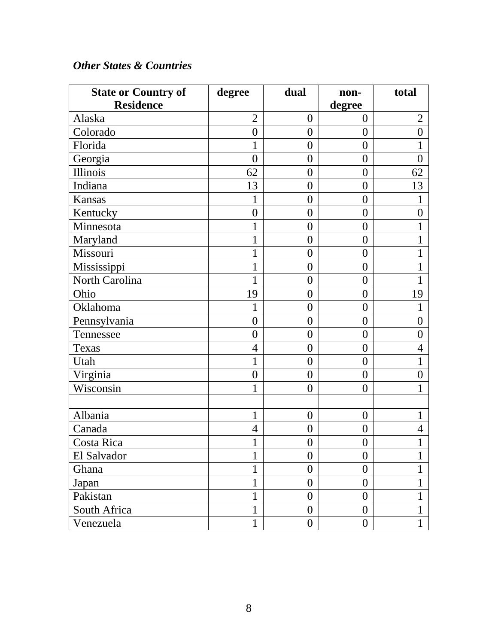#### *Other States & Countries*

| <b>State or Country of</b> | degree           | dual             | non-             | total          |
|----------------------------|------------------|------------------|------------------|----------------|
| <b>Residence</b>           |                  |                  | degree           |                |
| Alaska                     | $\overline{2}$   | $\overline{0}$   | $\theta$         | $\overline{2}$ |
| Colorado                   | $\boldsymbol{0}$ | $\boldsymbol{0}$ | $\overline{0}$   | $\overline{0}$ |
| Florida                    | 1                | $\boldsymbol{0}$ | $\overline{0}$   |                |
| Georgia                    | $\boldsymbol{0}$ | $\overline{0}$   | $\overline{0}$   | $\overline{0}$ |
| Illinois                   | 62               | $\boldsymbol{0}$ | $\overline{0}$   | 62             |
| Indiana                    | 13               | $\boldsymbol{0}$ | $\overline{0}$   | 13             |
| Kansas                     | 1                | $\overline{0}$   | $\overline{0}$   | $\mathbf{1}$   |
| Kentucky                   | $\boldsymbol{0}$ | $\overline{0}$   | $\overline{0}$   | $\overline{0}$ |
| Minnesota                  | 1                | $\overline{0}$   | $\overline{0}$   | 1              |
| Maryland                   | $\mathbf{1}$     | $\overline{0}$   | $\overline{0}$   | 1              |
| Missouri                   | $\mathbf{1}$     | $\boldsymbol{0}$ | $\overline{0}$   | 1              |
| Mississippi                | 1                | $\boldsymbol{0}$ | $\overline{0}$   | 1              |
| North Carolina             | 1                | $\boldsymbol{0}$ | $\overline{0}$   |                |
| Ohio                       | 19               | $\boldsymbol{0}$ | $\overline{0}$   | 19             |
| Oklahoma                   | 1                | $\boldsymbol{0}$ | $\overline{0}$   | 1              |
| Pennsylvania               | $\overline{0}$   | $\overline{0}$   | $\overline{0}$   | $\overline{0}$ |
| Tennessee                  | $\overline{0}$   | $\boldsymbol{0}$ | $\overline{0}$   | $\overline{0}$ |
| Texas                      | $\overline{4}$   | $\overline{0}$   | $\overline{0}$   | $\overline{4}$ |
| Utah                       | $\mathbf{1}$     | $\boldsymbol{0}$ | $\overline{0}$   | 1              |
| Virginia                   | $\overline{0}$   | $\boldsymbol{0}$ | $\overline{0}$   | $\overline{0}$ |
| Wisconsin                  | $\mathbf{1}$     | $\overline{0}$   | $\overline{0}$   |                |
|                            |                  |                  |                  |                |
| Albania                    | $\mathbf{1}$     | $\boldsymbol{0}$ | $\overline{0}$   | 1              |
| Canada                     | $\overline{4}$   | $\boldsymbol{0}$ | $\overline{0}$   | $\overline{4}$ |
| Costa Rica                 | $\mathbf{1}$     | $\overline{0}$   | $\overline{0}$   | $\mathbf{1}$   |
| El Salvador                | 1                | $\boldsymbol{0}$ | $\boldsymbol{0}$ |                |
| Ghana                      | $\mathbf{1}$     | $\boldsymbol{0}$ | $\overline{0}$   | 1              |
| Japan                      | $\mathbf{1}$     | $\boldsymbol{0}$ | $\theta$         | 1              |
| Pakistan                   | 1                | $\boldsymbol{0}$ | $\overline{0}$   | $\mathbf{1}$   |
| South Africa               | $\mathbf{1}$     | $\overline{0}$   | $\overline{0}$   | 1              |
| Venezuela                  | 1                | $\overline{0}$   | $\overline{0}$   | 1              |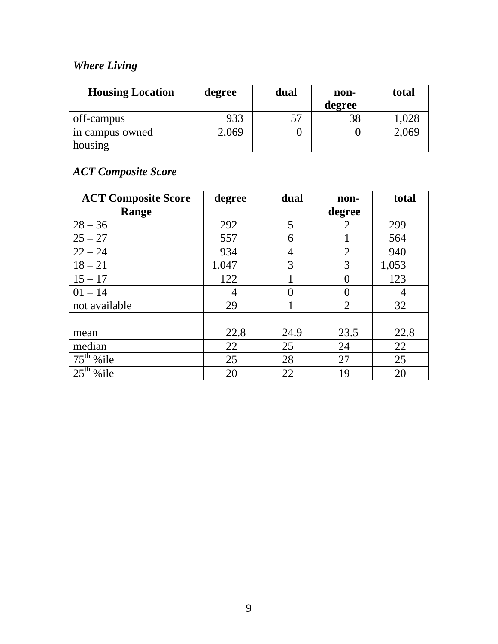### *Where Living*

| <b>Housing Location</b> | degree | dual | non-   | total |
|-------------------------|--------|------|--------|-------|
|                         |        |      | degree |       |
| off-campus              | 933    |      |        |       |
| in campus owned         | 2,069  |      |        | 2,069 |
| housing                 |        |      |        |       |

## *ACT Composite Score*

| <b>ACT Composite Score</b> | degree | dual | non-           | total |
|----------------------------|--------|------|----------------|-------|
| Range                      |        |      | degree         |       |
| $28 - 36$                  | 292    | 5    | $\overline{2}$ | 299   |
| $25 - 27$                  | 557    | 6    |                | 564   |
| $22 - 24$                  | 934    | 4    | $\overline{2}$ | 940   |
| $18 - 21$                  | 1,047  | 3    | 3              | 1,053 |
| $15 - 17$                  | 122    |      | ∩              | 123   |
| $01 - 14$                  | 4      |      |                | 4     |
| not available              | 29     |      | $\overline{2}$ | 32    |
|                            |        |      |                |       |
| mean                       | 22.8   | 24.9 | 23.5           | 22.8  |
| median                     | 22     | 25   | 24             | 22    |
| $75th$ % ile               | 25     | 28   | 27             | 25    |
| $25^{\text{th}}$<br>%ile   | 20     | 22   | 19             | 20    |